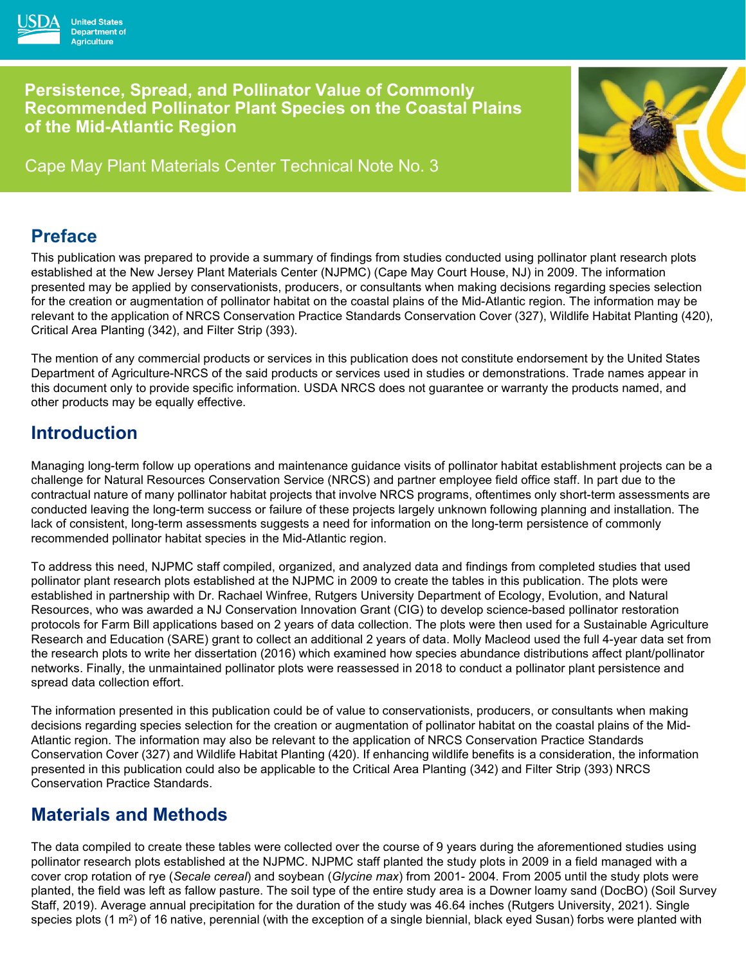

Cape May Plant Materials Center Technical Note No. 3



### **Preface**

**United States Department of Aariculture** 

This publication was prepared to provide a summary of findings from studies conducted using pollinator plant research plots established at the New Jersey Plant Materials Center (NJPMC) (Cape May Court House, NJ) in 2009. The information presented may be applied by conservationists, producers, or consultants when making decisions regarding species selection for the creation or augmentation of pollinator habitat on the coastal plains of the Mid-Atlantic region. The information may be relevant to the application of NRCS Conservation Practice Standards Conservation Cover (327), Wildlife Habitat Planting (420), Critical Area Planting (342), and Filter Strip (393).

The mention of any commercial products or services in this publication does not constitute endorsement by the United States Department of Agriculture-NRCS of the said products or services used in studies or demonstrations. Trade names appear in this document only to provide specific information. USDA NRCS does not guarantee or warranty the products named, and other products may be equally effective.

## **Introduction**

Managing long-term follow up operations and maintenance guidance visits of pollinator habitat establishment projects can be a challenge for Natural Resources Conservation Service (NRCS) and partner employee field office staff. In part due to the contractual nature of many pollinator habitat projects that involve NRCS programs, oftentimes only short-term assessments are conducted leaving the long-term success or failure of these projects largely unknown following planning and installation. The lack of consistent, long-term assessments suggests a need for information on the long-term persistence of commonly recommended pollinator habitat species in the Mid-Atlantic region.

To address this need, NJPMC staff compiled, organized, and analyzed data and findings from completed studies that used pollinator plant research plots established at the NJPMC in 2009 to create the tables in this publication. The plots were established in partnership with Dr. Rachael Winfree, Rutgers University Department of Ecology, Evolution, and Natural Resources, who was awarded a NJ Conservation Innovation Grant (CIG) to develop science-based pollinator restoration protocols for Farm Bill applications based on 2 years of data collection. The plots were then used for a Sustainable Agriculture Research and Education (SARE) grant to collect an additional 2 years of data. Molly Macleod used the full 4-year data set from the research plots to write her dissertation (2016) which examined how species abundance distributions affect plant/pollinator networks. Finally, the unmaintained pollinator plots were reassessed in 2018 to conduct a pollinator plant persistence and spread data collection effort.

The information presented in this publication could be of value to conservationists, producers, or consultants when making decisions regarding species selection for the creation or augmentation of pollinator habitat on the coastal plains of the Mid-Atlantic region. The information may also be relevant to the application of NRCS Conservation Practice Standards Conservation Cover (327) and Wildlife Habitat Planting (420). If enhancing wildlife benefits is a consideration, the information presented in this publication could also be applicable to the Critical Area Planting (342) and Filter Strip (393) NRCS Conservation Practice Standards.

## **Materials and Methods**

The data compiled to create these tables were collected over the course of 9 years during the aforementioned studies using pollinator research plots established at the NJPMC. NJPMC staff planted the study plots in 2009 in a field managed with a cover crop rotation of rye (*Secale cereal*) and soybean (*Glycine max*) from 2001- 2004. From 2005 until the study plots were planted, the field was left as fallow pasture. The soil type of the entire study area is a Downer loamy sand (DocBO) (Soil Survey Staff, 2019). Average annual precipitation for the duration of the study was 46.64 inches (Rutgers University, 2021). Single species plots (1  $\text{m}^2$ ) of 16 native, perennial (with the exception of a single biennial, black eved Susan) forbs were planted with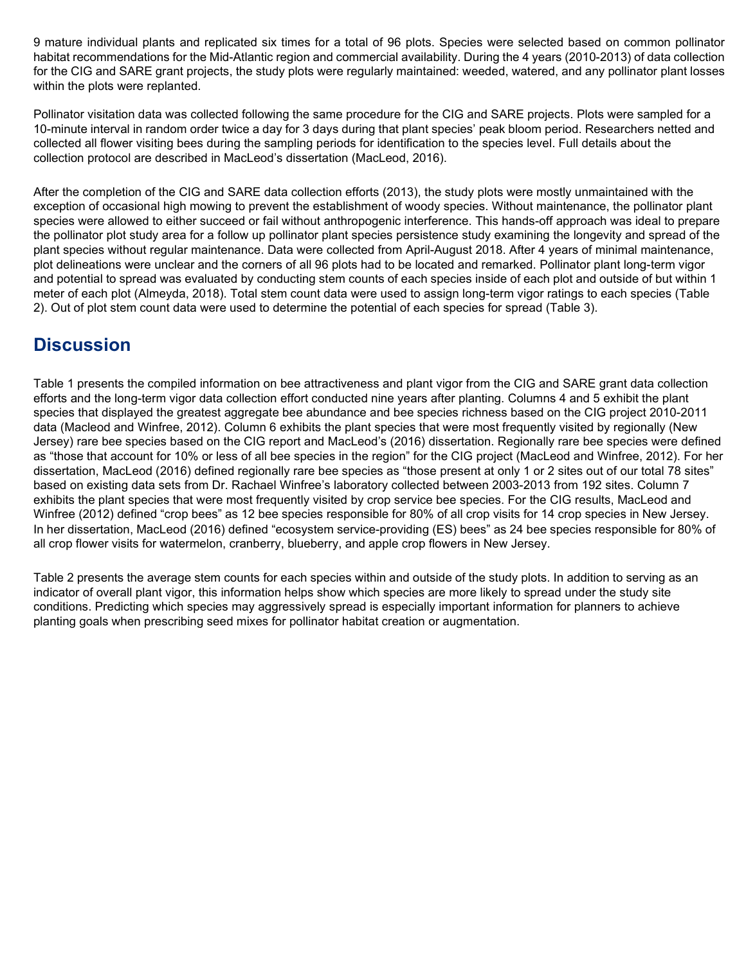9 mature individual plants and replicated six times for a total of 96 plots. Species were selected based on common pollinator habitat recommendations for the Mid-Atlantic region and commercial availability. During the 4 years (2010-2013) of data collection for the CIG and SARE grant projects, the study plots were regularly maintained: weeded, watered, and any pollinator plant losses within the plots were replanted.

Pollinator visitation data was collected following the same procedure for the CIG and SARE projects. Plots were sampled for a 10-minute interval in random order twice a day for 3 days during that plant species' peak bloom period. Researchers netted and collected all flower visiting bees during the sampling periods for identification to the species level. Full details about the collection protocol are described in MacLeod's dissertation (MacLeod, 2016).

After the completion of the CIG and SARE data collection efforts (2013), the study plots were mostly unmaintained with the exception of occasional high mowing to prevent the establishment of woody species. Without maintenance, the pollinator plant species were allowed to either succeed or fail without anthropogenic interference. This hands-off approach was ideal to prepare the pollinator plot study area for a follow up pollinator plant species persistence study examining the longevity and spread of the plant species without regular maintenance. Data were collected from April-August 2018. After 4 years of minimal maintenance, plot delineations were unclear and the corners of all 96 plots had to be located and remarked. Pollinator plant long-term vigor and potential to spread was evaluated by conducting stem counts of each species inside of each plot and outside of but within 1 meter of each plot (Almeyda, 2018). Total stem count data were used to assign long-term vigor ratings to each species (Table 2). Out of plot stem count data were used to determine the potential of each species for spread (Table 3).

## **Discussion**

Table 1 presents the compiled information on bee attractiveness and plant vigor from the CIG and SARE grant data collection efforts and the long-term vigor data collection effort conducted nine years after planting. Columns 4 and 5 exhibit the plant species that displayed the greatest aggregate bee abundance and bee species richness based on the CIG project 2010-2011 data (Macleod and Winfree, 2012). Column 6 exhibits the plant species that were most frequently visited by regionally (New Jersey) rare bee species based on the CIG report and MacLeod's (2016) dissertation. Regionally rare bee species were defined as "those that account for 10% or less of all bee species in the region" for the CIG project (MacLeod and Winfree, 2012). For her dissertation, MacLeod (2016) defined regionally rare bee species as "those present at only 1 or 2 sites out of our total 78 sites" based on existing data sets from Dr. Rachael Winfree's laboratory collected between 2003-2013 from 192 sites. Column 7 exhibits the plant species that were most frequently visited by crop service bee species. For the CIG results, MacLeod and Winfree (2012) defined "crop bees" as 12 bee species responsible for 80% of all crop visits for 14 crop species in New Jersey. In her dissertation, MacLeod (2016) defined "ecosystem service-providing (ES) bees" as 24 bee species responsible for 80% of all crop flower visits for watermelon, cranberry, blueberry, and apple crop flowers in New Jersey.

Table 2 presents the average stem counts for each species within and outside of the study plots. In addition to serving as an indicator of overall plant vigor, this information helps show which species are more likely to spread under the study site conditions. Predicting which species may aggressively spread is especially important information for planners to achieve planting goals when prescribing seed mixes for pollinator habitat creation or augmentation.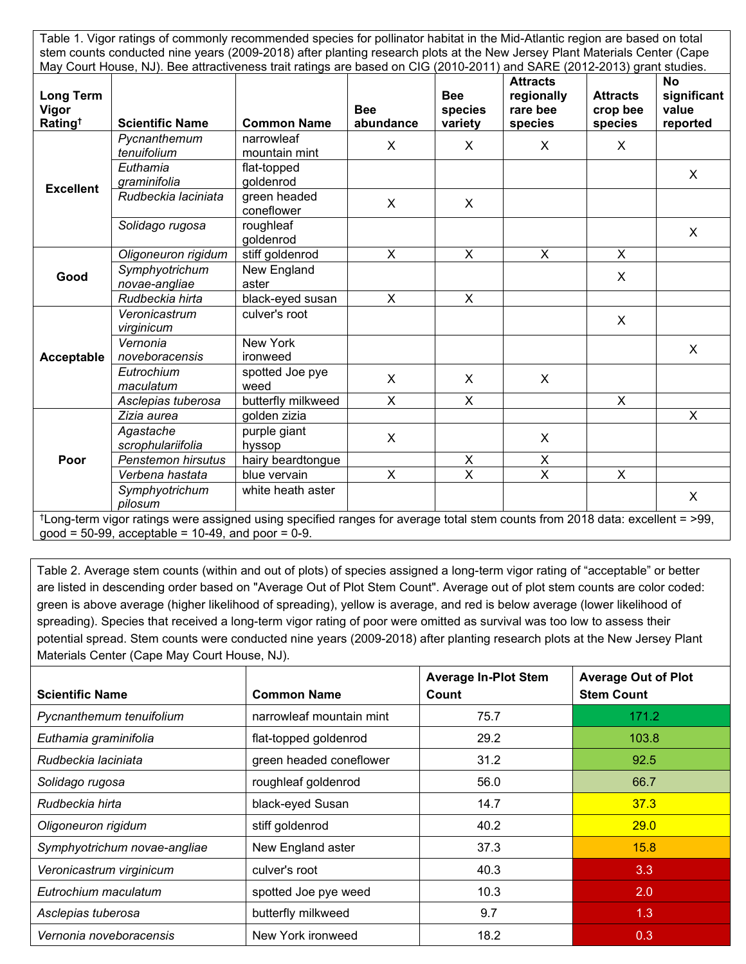| Table 1. Vigor ratings of commonly recommended species for pollinator habitat in the Mid-Atlantic region are based on total<br>stem counts conducted nine years (2009-2018) after planting research plots at the New Jersey Plant Materials Center (Cape<br>May Court House, NJ). Bee attractiveness trait ratings are based on CIG (2010-2011) and SARE (2012-2013) grant studies. |                                |                             |                         |                                  |                                                      |                                        |                                               |  |
|-------------------------------------------------------------------------------------------------------------------------------------------------------------------------------------------------------------------------------------------------------------------------------------------------------------------------------------------------------------------------------------|--------------------------------|-----------------------------|-------------------------|----------------------------------|------------------------------------------------------|----------------------------------------|-----------------------------------------------|--|
| Long Term<br>Vigor<br>Rating <sup>†</sup>                                                                                                                                                                                                                                                                                                                                           | <b>Scientific Name</b>         | <b>Common Name</b>          | <b>Bee</b><br>abundance | <b>Bee</b><br>species<br>variety | <b>Attracts</b><br>regionally<br>rare bee<br>species | <b>Attracts</b><br>crop bee<br>species | <b>No</b><br>significant<br>value<br>reported |  |
| <b>Excellent</b>                                                                                                                                                                                                                                                                                                                                                                    | Pycnanthemum<br>tenuifolium    | narrowleaf<br>mountain mint | X                       | $\mathsf{X}$                     | X.                                                   | X                                      |                                               |  |
|                                                                                                                                                                                                                                                                                                                                                                                     | Euthamia<br>graminifolia       | flat-topped<br>goldenrod    |                         |                                  |                                                      |                                        | X                                             |  |
|                                                                                                                                                                                                                                                                                                                                                                                     | Rudbeckia laciniata            | green headed<br>coneflower  | X                       | X                                |                                                      |                                        |                                               |  |
|                                                                                                                                                                                                                                                                                                                                                                                     | Solidago rugosa                | roughleaf<br>goldenrod      |                         |                                  |                                                      |                                        | X                                             |  |
| Good                                                                                                                                                                                                                                                                                                                                                                                | Oligoneuron rigidum            | stiff goldenrod             | X                       | X                                | $\mathsf{X}$                                         | $\mathsf{X}$                           |                                               |  |
|                                                                                                                                                                                                                                                                                                                                                                                     | Symphyotrichum                 | New England                 |                         |                                  |                                                      | X                                      |                                               |  |
|                                                                                                                                                                                                                                                                                                                                                                                     | novae-angliae                  | aster                       |                         |                                  |                                                      |                                        |                                               |  |
|                                                                                                                                                                                                                                                                                                                                                                                     | Rudbeckia hirta                | black-eyed susan            | X                       | $\pmb{\times}$                   |                                                      |                                        |                                               |  |
| Acceptable                                                                                                                                                                                                                                                                                                                                                                          | Veronicastrum<br>virginicum    | culver's root               |                         |                                  |                                                      | X                                      |                                               |  |
|                                                                                                                                                                                                                                                                                                                                                                                     | Vernonia<br>noveboracensis     | New York<br>ironweed        |                         |                                  |                                                      |                                        | X                                             |  |
|                                                                                                                                                                                                                                                                                                                                                                                     | Eutrochium<br>maculatum        | spotted Joe pye<br>weed     | X                       | X                                | X                                                    |                                        |                                               |  |
|                                                                                                                                                                                                                                                                                                                                                                                     | Asclepias tuberosa             | butterfly milkweed          | X                       | X                                |                                                      | $\mathsf{X}$                           |                                               |  |
| Poor                                                                                                                                                                                                                                                                                                                                                                                | Zizia aurea                    | golden zizia                |                         |                                  |                                                      |                                        | $\sf X$                                       |  |
|                                                                                                                                                                                                                                                                                                                                                                                     | Agastache<br>scrophulariifolia | purple giant<br>hyssop      | X                       |                                  | $\mathsf{X}$                                         |                                        |                                               |  |
|                                                                                                                                                                                                                                                                                                                                                                                     | Penstemon hirsutus             | hairy beardtongue           |                         | $\pmb{\times}$                   | $\pmb{\times}$                                       |                                        |                                               |  |
|                                                                                                                                                                                                                                                                                                                                                                                     | Verbena hastata                | blue vervain                | X                       | X                                | X                                                    | $\pmb{\times}$                         |                                               |  |
|                                                                                                                                                                                                                                                                                                                                                                                     | Symphyotrichum<br>pilosum      | white heath aster           |                         |                                  |                                                      |                                        | X                                             |  |
| <sup>†</sup> Long-term vigor ratings were assigned using specified ranges for average total stem counts from 2018 data: excellent = >99,<br>good = 50-99, acceptable = 10-49, and poor = $0-9$ .                                                                                                                                                                                    |                                |                             |                         |                                  |                                                      |                                        |                                               |  |

Table 2. Average stem counts (within and out of plots) of species assigned a long-term vigor rating of "acceptable" or better are listed in descending order based on "Average Out of Plot Stem Count". Average out of plot stem counts are color coded: green is above average (higher likelihood of spreading), yellow is average, and red is below average (lower likelihood of spreading). Species that received a long-term vigor rating of poor were omitted as survival was too low to assess their potential spread. Stem counts were conducted nine years (2009-2018) after planting research plots at the New Jersey Plant Materials Center (Cape May Court House, NJ).

| <b>Scientific Name</b>       | <b>Common Name</b>       | <b>Average In-Plot Stem</b><br>Count | <b>Average Out of Plot</b><br><b>Stem Count</b> |  |
|------------------------------|--------------------------|--------------------------------------|-------------------------------------------------|--|
| Pycnanthemum tenuifolium     | narrowleaf mountain mint | 75.7                                 | 171.2                                           |  |
| Euthamia graminifolia        | flat-topped goldenrod    | 29.2                                 | 103.8                                           |  |
| Rudbeckia laciniata          | green headed coneflower  | 31.2                                 | 92.5                                            |  |
| Solidago rugosa              | roughleaf goldenrod      | 56.0                                 | 66.7                                            |  |
| Rudbeckia hirta              | black-eyed Susan         | 14.7                                 | 37.3                                            |  |
| Oligoneuron rigidum          | stiff goldenrod          | 40.2                                 | 29.0                                            |  |
| Symphyotrichum novae-angliae | New England aster        | 37.3                                 | 15.8                                            |  |
| Veronicastrum virginicum     | culver's root            | 40.3                                 | 3.3                                             |  |
| Eutrochium maculatum         | spotted Joe pye weed     | 10.3                                 | 2.0                                             |  |
| Asclepias tuberosa           | butterfly milkweed       | 9.7                                  | 1.3                                             |  |
| Vernonia noveboracensis      | New York ironweed        | 18.2                                 | 0.3                                             |  |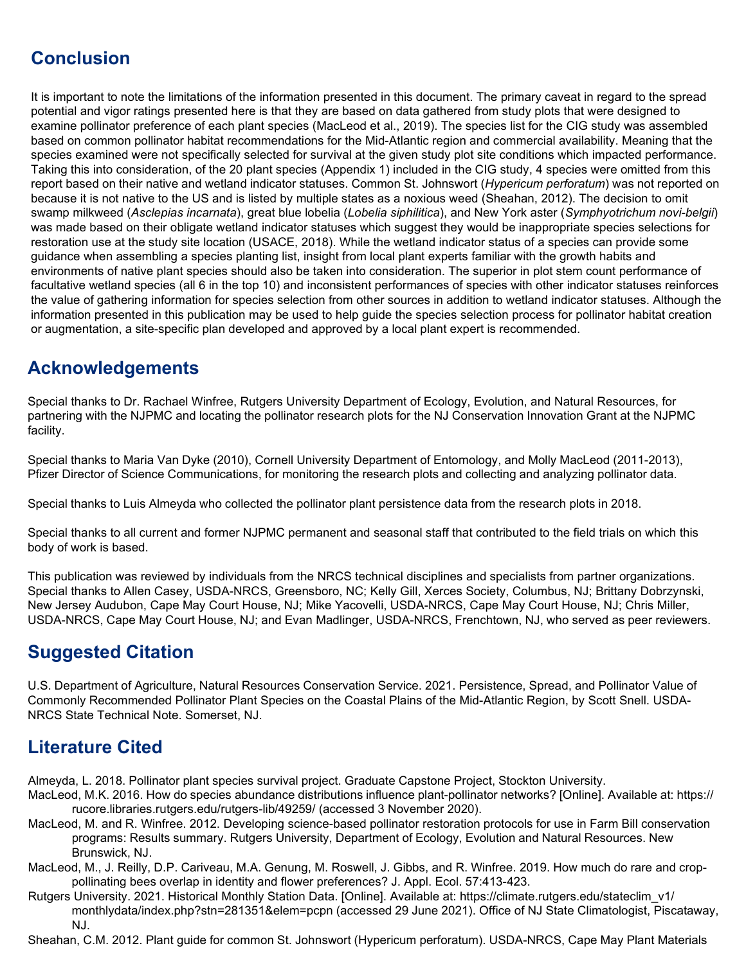# **Conclusion**

It is important to note the limitations of the information presented in this document. The primary caveat in regard to the spread potential and vigor ratings presented here is that they are based on data gathered from study plots that were designed to examine pollinator preference of each plant species (MacLeod et al., 2019). The species list for the CIG study was assembled based on common pollinator habitat recommendations for the Mid-Atlantic region and commercial availability. Meaning that the species examined were not specifically selected for survival at the given study plot site conditions which impacted performance. Taking this into consideration, of the 20 plant species (Appendix 1) included in the CIG study, 4 species were omitted from this report based on their native and wetland indicator statuses. Common St. Johnswort (*Hypericum perforatum*) was not reported on because it is not native to the US and is listed by multiple states as a noxious weed (Sheahan, 2012). The decision to omit swamp milkweed (*Asclepias incarnata*), great blue lobelia (*Lobelia siphilitica*), and New York aster (*Symphyotrichum novi-belgii*) was made based on their obligate wetland indicator statuses which suggest they would be inappropriate species selections for restoration use at the study site location (USACE, 2018). While the wetland indicator status of a species can provide some guidance when assembling a species planting list, insight from local plant experts familiar with the growth habits and environments of native plant species should also be taken into consideration. The superior in plot stem count performance of facultative wetland species (all 6 in the top 10) and inconsistent performances of species with other indicator statuses reinforces the value of gathering information for species selection from other sources in addition to wetland indicator statuses. Although the information presented in this publication may be used to help guide the species selection process for pollinator habitat creation or augmentation, a site-specific plan developed and approved by a local plant expert is recommended.

## **Acknowledgements**

Special thanks to Dr. Rachael Winfree, Rutgers University Department of Ecology, Evolution, and Natural Resources, for partnering with the NJPMC and locating the pollinator research plots for the NJ Conservation Innovation Grant at the NJPMC facility.

Special thanks to Maria Van Dyke (2010), Cornell University Department of Entomology, and Molly MacLeod (2011-2013), Pfizer Director of Science Communications, for monitoring the research plots and collecting and analyzing pollinator data.

Special thanks to Luis Almeyda who collected the pollinator plant persistence data from the research plots in 2018.

Special thanks to all current and former NJPMC permanent and seasonal staff that contributed to the field trials on which this body of work is based.

This publication was reviewed by individuals from the NRCS technical disciplines and specialists from partner organizations. Special thanks to Allen Casey, USDA-NRCS, Greensboro, NC; Kelly Gill, Xerces Society, Columbus, NJ; Brittany Dobrzynski, New Jersey Audubon, Cape May Court House, NJ; Mike Yacovelli, USDA-NRCS, Cape May Court House, NJ; Chris Miller, USDA-NRCS, Cape May Court House, NJ; and Evan Madlinger, USDA-NRCS, Frenchtown, NJ, who served as peer reviewers.

## **Suggested Citation**

U.S. Department of Agriculture, Natural Resources Conservation Service. 2021. Persistence, Spread, and Pollinator Value of Commonly Recommended Pollinator Plant Species on the Coastal Plains of the Mid-Atlantic Region, by Scott Snell. USDA-NRCS State Technical Note. Somerset, NJ.

# **Literature Cited**

Almeyda, L. 2018. Pollinator plant species survival project. Graduate Capstone Project, Stockton University.

- MacLeod, M.K. 2016. How do species abundance distributions influence plant-pollinator networks? [Online]. Available at: https:// rucore.libraries.rutgers.edu/rutgers-lib/49259/ (accessed 3 November 2020).
- MacLeod, M. and R. Winfree. 2012. Developing science-based pollinator restoration protocols for use in Farm Bill conservation programs: Results summary. Rutgers University, Department of Ecology, Evolution and Natural Resources. New Brunswick, NJ.
- MacLeod, M., J. Reilly, D.P. Cariveau, M.A. Genung, M. Roswell, J. Gibbs, and R. Winfree. 2019. How much do rare and croppollinating bees overlap in identity and flower preferences? J. Appl. Ecol. 57:413-423.
- Rutgers University. 2021. Historical Monthly Station Data. [Online]. Available at: https://climate.rutgers.edu/stateclim\_v1/ monthlydata/index.php?stn=281351&elem=pcpn (accessed 29 June 2021). Office of NJ State Climatologist, Piscataway, NJ.

Sheahan, C.M. 2012. Plant guide for common St. Johnswort (Hypericum perforatum). USDA-NRCS, Cape May Plant Materials